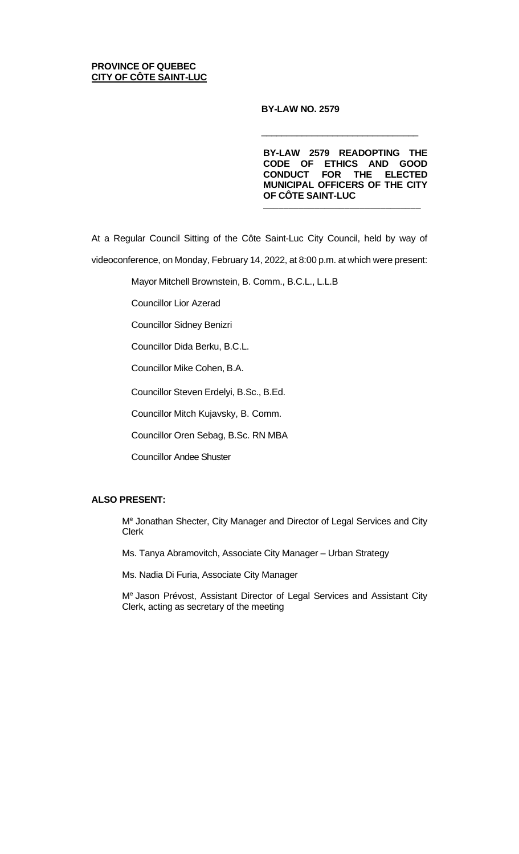## **PROVINCE OF QUEBEC CITY OF CÔTE SAINT-LUC**

## **BY-LAW NO. 2579**

**BY-LAW 2579 READOPTING THE CODE OF ETHICS AND GOOD CONDUCT FOR THE ELECTED MUNICIPAL OFFICERS OF THE CITY OF CÔTE SAINT-LUC**

\_\_\_\_\_\_\_\_\_\_\_\_\_\_\_\_\_\_\_\_\_\_\_\_\_\_\_\_\_\_\_

 $\overline{\phantom{a}}$  , and the contract of the contract of the contract of the contract of the contract of the contract of the contract of the contract of the contract of the contract of the contract of the contract of the contrac

At a Regular Council Sitting of the Côte Saint-Luc City Council, held by way of videoconference, on Monday, February 14, 2022, at 8:00 p.m. at which were present:

Mayor Mitchell Brownstein, B. Comm., B.C.L., L.L.B

Councillor Lior Azerad

Councillor Sidney Benizri

Councillor Dida Berku, B.C.L.

Councillor Mike Cohen, B.A.

Councillor Steven Erdelyi, B.Sc., B.Ed.

Councillor Mitch Kujavsky, B. Comm.

Councillor Oren Sebag, B.Sc. RN MBA

Councillor Andee Shuster

# **ALSO PRESENT:**

Me Jonathan Shecter, City Manager and Director of Legal Services and City Clerk

Ms. Tanya Abramovitch, Associate City Manager – Urban Strategy

Ms. Nadia Di Furia, Associate City Manager

Me Jason Prévost, Assistant Director of Legal Services and Assistant City Clerk, acting as secretary of the meeting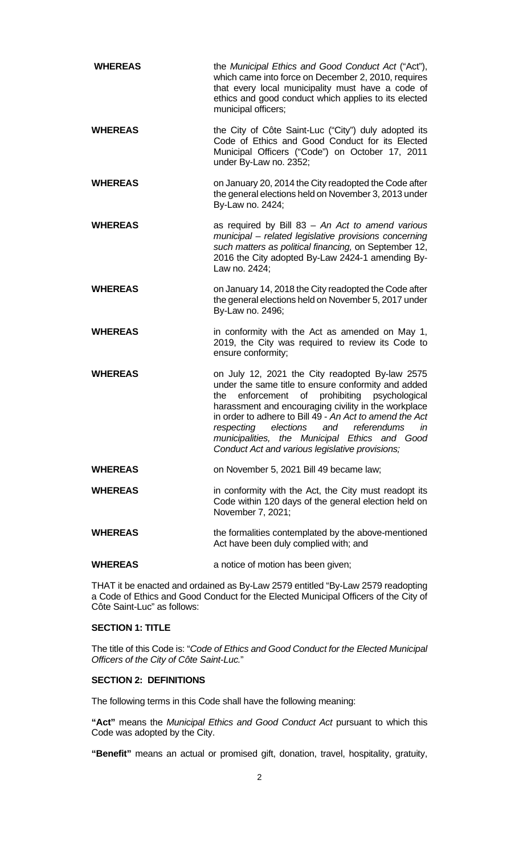| <b>WHEREAS</b> | the Municipal Ethics and Good Conduct Act ("Act"),<br>which came into force on December 2, 2010, requires<br>that every local municipality must have a code of<br>ethics and good conduct which applies to its elected<br>municipal officers;                                                                                                                                                                               |
|----------------|-----------------------------------------------------------------------------------------------------------------------------------------------------------------------------------------------------------------------------------------------------------------------------------------------------------------------------------------------------------------------------------------------------------------------------|
| <b>WHEREAS</b> | the City of Côte Saint-Luc ("City") duly adopted its<br>Code of Ethics and Good Conduct for its Elected<br>Municipal Officers ("Code") on October 17, 2011<br>under By-Law no. 2352;                                                                                                                                                                                                                                        |
| <b>WHEREAS</b> | on January 20, 2014 the City readopted the Code after<br>the general elections held on November 3, 2013 under<br>By-Law no. 2424;                                                                                                                                                                                                                                                                                           |
| <b>WHEREAS</b> | as required by Bill $83 - An$ Act to amend various<br>municipal - related legislative provisions concerning<br>such matters as political financing, on September 12,<br>2016 the City adopted By-Law 2424-1 amending By-<br>Law no. 2424;                                                                                                                                                                                   |
| <b>WHEREAS</b> | on January 14, 2018 the City readopted the Code after<br>the general elections held on November 5, 2017 under<br>By-Law no. 2496;                                                                                                                                                                                                                                                                                           |
| <b>WHEREAS</b> | in conformity with the Act as amended on May 1,<br>2019, the City was required to review its Code to<br>ensure conformity;                                                                                                                                                                                                                                                                                                  |
| <b>WHEREAS</b> | on July 12, 2021 the City readopted By-law 2575<br>under the same title to ensure conformity and added<br>enforcement of prohibiting psychological<br>the<br>harassment and encouraging civility in the workplace<br>in order to adhere to Bill 49 - An Act to amend the Act<br>respecting elections and referendums in<br>municipalities, the Municipal Ethics and Good<br>Conduct Act and various legislative provisions; |
| <b>WHEREAS</b> | on November 5, 2021 Bill 49 became law;                                                                                                                                                                                                                                                                                                                                                                                     |
| <b>WHEREAS</b> | in conformity with the Act, the City must readopt its<br>Code within 120 days of the general election held on<br>November 7, 2021;                                                                                                                                                                                                                                                                                          |
| <b>WHEREAS</b> | the formalities contemplated by the above-mentioned<br>Act have been duly complied with; and                                                                                                                                                                                                                                                                                                                                |
| <b>WHEREAS</b> | a notice of motion has been given;                                                                                                                                                                                                                                                                                                                                                                                          |

THAT it be enacted and ordained as By-Law 2579 entitled "By-Law 2579 readopting a Code of Ethics and Good Conduct for the Elected Municipal Officers of the City of Côte Saint-Luc" as follows:

## **SECTION 1: TITLE**

The title of this Code is: "*Code of Ethics and Good Conduct for the Elected Municipal Officers of the City of Côte Saint-Luc.*"

## **SECTION 2: DEFINITIONS**

The following terms in this Code shall have the following meaning:

**"Act"** means the *Municipal Ethics and Good Conduct Act* pursuant to which this Code was adopted by the City.

**"Benefit"** means an actual or promised gift, donation, travel, hospitality, gratuity,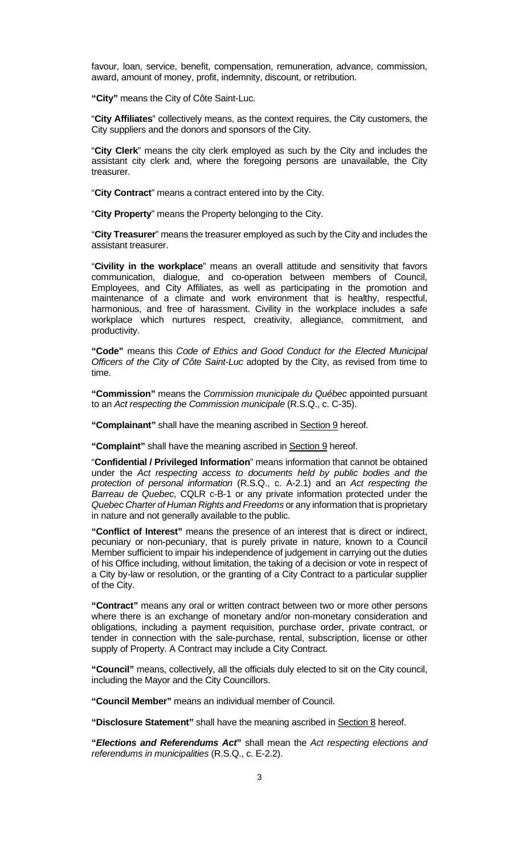favour, loan, service, benefit, compensation, remuneration, advance, commission, award, amount of money, profit, indemnity, discount, or retribution.

**"City"** means the City of Côte Saint-Luc.

"**City Affiliates**" collectively means, as the context requires, the City customers, the City suppliers and the donors and sponsors of the City.

"**City Clerk**" means the city clerk employed as such by the City and includes the assistant city clerk and, where the foregoing persons are unavailable, the City treasurer.

"**City Contract**" means a contract entered into by the City.

"**City Property**" means the Property belonging to the City.

"**City Treasurer**" means the treasurer employed as such by the City and includes the assistant treasurer.

"**Civility in the workplace**" means an overall attitude and sensitivity that favors communication, dialogue, and co-operation between members of Council, Employees, and City Affiliates, as well as participating in the promotion and maintenance of a climate and work environment that is healthy, respectful, harmonious, and free of harassment. Civility in the workplace includes a safe workplace which nurtures respect, creativity, allegiance, commitment, and productivity.

**"Code"** means this *Code of Ethics and Good Conduct for the Elected Municipal Officers of the City of Côte Saint-Luc* adopted by the City, as revised from time to time.

**"Commission"** means the *Commission municipale du Québec* appointed pursuant to an *Act respecting the Commission municipale* (R.S.Q., c. C-35).

**"Complainant"** shall have the meaning ascribed in Section 9 hereof.

**"Complaint"** shall have the meaning ascribed in Section 9 hereof.

"**Confidential / Privileged Information**" means information that cannot be obtained under the *Act respecting access to documents held by public bodies and the protection of personal information* (R.S.Q., c. A-2.1) and an *Act respecting the Barreau de Quebec*, CQLR c-B-1 or any private information protected under the *Quebec Charter of Human Rights and Freedoms* or any information that is proprietary in nature and not generally available to the public.

**"Conflict of Interest"** means the presence of an interest that is direct or indirect, pecuniary or non-pecuniary, that is purely private in nature, known to a Council Member sufficient to impair his independence of judgement in carrying out the duties of his Office including, without limitation, the taking of a decision or vote in respect of a City by-law or resolution, or the granting of a City Contract to a particular supplier of the City.

**"Contract"** means any oral or written contract between two or more other persons where there is an exchange of monetary and/or non-monetary consideration and obligations, including a payment requisition, purchase order, private contract, or tender in connection with the sale-purchase, rental, subscription, license or other supply of Property. A Contract may include a City Contract.

**"Council"** means, collectively, all the officials duly elected to sit on the City council, including the Mayor and the City Councillors.

**"Council Member"** means an individual member of Council.

**"Disclosure Statement"** shall have the meaning ascribed in Section 8 hereof.

**"***Elections and Referendums Act***"** shall mean the *Act respecting elections and referendums in municipalities* (R.S.Q., c. E-2.2).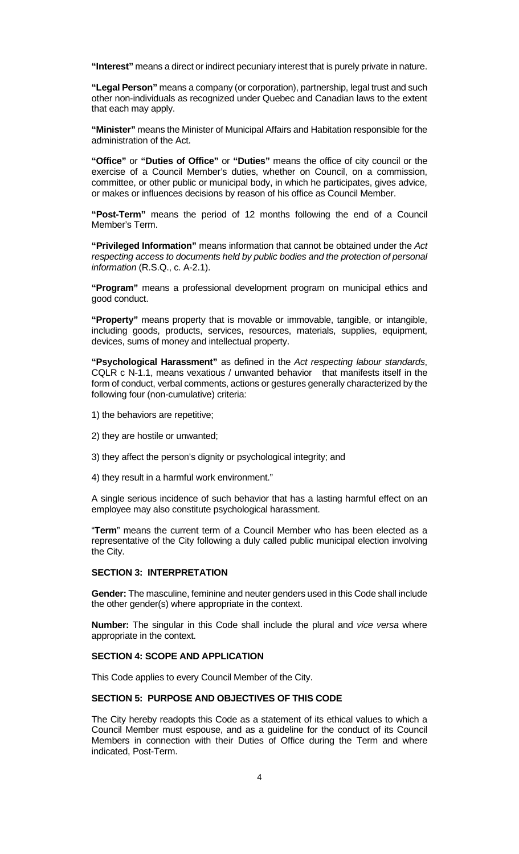**"Interest"** means a direct or indirect pecuniary interest that is purely private in nature.

**"Legal Person"** means a company (or corporation), partnership, legal trust and such other non-individuals as recognized under Quebec and Canadian laws to the extent that each may apply.

**"Minister"** means the Minister of Municipal Affairs and Habitation responsible for the administration of the Act.

**"Office"** or **"Duties of Office"** or **"Duties"** means the office of city council or the exercise of a Council Member's duties, whether on Council, on a commission, committee, or other public or municipal body, in which he participates, gives advice, or makes or influences decisions by reason of his office as Council Member.

**"Post-Term"** means the period of 12 months following the end of a Council Member's Term.

**"Privileged Information"** means information that cannot be obtained under the *Act respecting access to documents held by public bodies and the protection of personal information* (R.S.Q., c. A-2.1).

**"Program"** means a professional development program on municipal ethics and good conduct.

**"Property"** means property that is movable or immovable, tangible, or intangible, including goods, products, services, resources, materials, supplies, equipment, devices, sums of money and intellectual property.

**"Psychological Harassment"** as defined in the *Act respecting labour standards*, CQLR c N-1.1, means vexatious / unwanted behavior that manifests itself in the form of conduct, verbal comments, actions or gestures generally characterized by the following four (non-cumulative) criteria:

- 1) the behaviors are repetitive;
- 2) they are hostile or unwanted;
- 3) they affect the person's dignity or psychological integrity; and
- 4) they result in a harmful work environment."

A single serious incidence of such behavior that has a lasting harmful effect on an employee may also constitute psychological harassment.

"**Term**" means the current term of a Council Member who has been elected as a representative of the City following a duly called public municipal election involving the City.

## **SECTION 3: INTERPRETATION**

**Gender:** The masculine, feminine and neuter genders used in this Code shall include the other gender(s) where appropriate in the context.

**Number:** The singular in this Code shall include the plural and *vice versa* where appropriate in the context.

#### **SECTION 4: SCOPE AND APPLICATION**

This Code applies to every Council Member of the City.

## **SECTION 5: PURPOSE AND OBJECTIVES OF THIS CODE**

The City hereby readopts this Code as a statement of its ethical values to which a Council Member must espouse, and as a guideline for the conduct of its Council Members in connection with their Duties of Office during the Term and where indicated, Post-Term.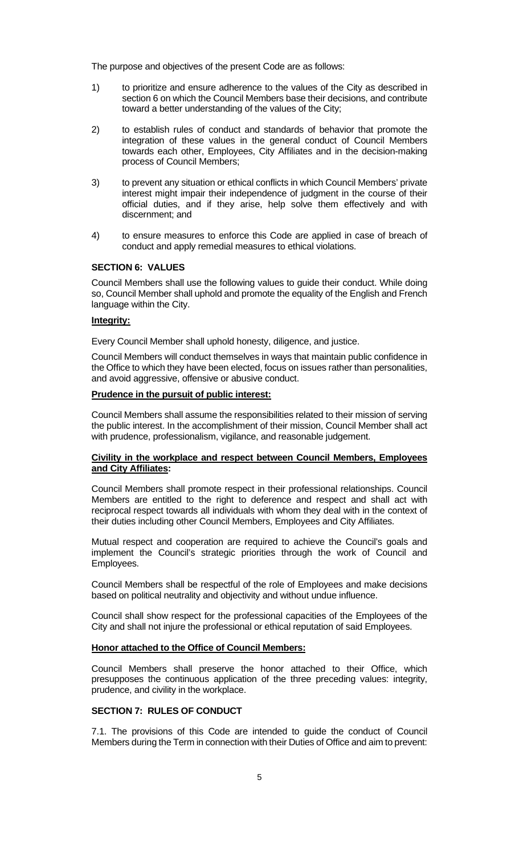The purpose and objectives of the present Code are as follows:

- 1) to prioritize and ensure adherence to the values of the City as described in section 6 on which the Council Members base their decisions, and contribute toward a better understanding of the values of the City;
- 2) to establish rules of conduct and standards of behavior that promote the integration of these values in the general conduct of Council Members towards each other, Employees, City Affiliates and in the decision-making process of Council Members;
- 3) to prevent any situation or ethical conflicts in which Council Members' private interest might impair their independence of judgment in the course of their official duties, and if they arise, help solve them effectively and with discernment; and
- 4) to ensure measures to enforce this Code are applied in case of breach of conduct and apply remedial measures to ethical violations.

#### **SECTION 6: VALUES**

Council Members shall use the following values to guide their conduct. While doing so, Council Member shall uphold and promote the equality of the English and French language within the City.

## **Integrity:**

Every Council Member shall uphold honesty, diligence, and justice.

Council Members will conduct themselves in ways that maintain public confidence in the Office to which they have been elected, focus on issues rather than personalities, and avoid aggressive, offensive or abusive conduct.

## **Prudence in the pursuit of public interest:**

Council Members shall assume the responsibilities related to their mission of serving the public interest. In the accomplishment of their mission, Council Member shall act with prudence, professionalism, vigilance, and reasonable judgement.

## **Civility in the workplace and respect between Council Members, Employees and City Affiliates:**

Council Members shall promote respect in their professional relationships. Council Members are entitled to the right to deference and respect and shall act with reciprocal respect towards all individuals with whom they deal with in the context of their duties including other Council Members, Employees and City Affiliates.

Mutual respect and cooperation are required to achieve the Council's goals and implement the Council's strategic priorities through the work of Council and Employees.

Council Members shall be respectful of the role of Employees and make decisions based on political neutrality and objectivity and without undue influence.

Council shall show respect for the professional capacities of the Employees of the City and shall not injure the professional or ethical reputation of said Employees.

#### **Honor attached to the Office of Council Members:**

Council Members shall preserve the honor attached to their Office, which presupposes the continuous application of the three preceding values: integrity, prudence, and civility in the workplace.

#### **SECTION 7: RULES OF CONDUCT**

7.1. The provisions of this Code are intended to guide the conduct of Council Members during the Term in connection with their Duties of Office and aim to prevent: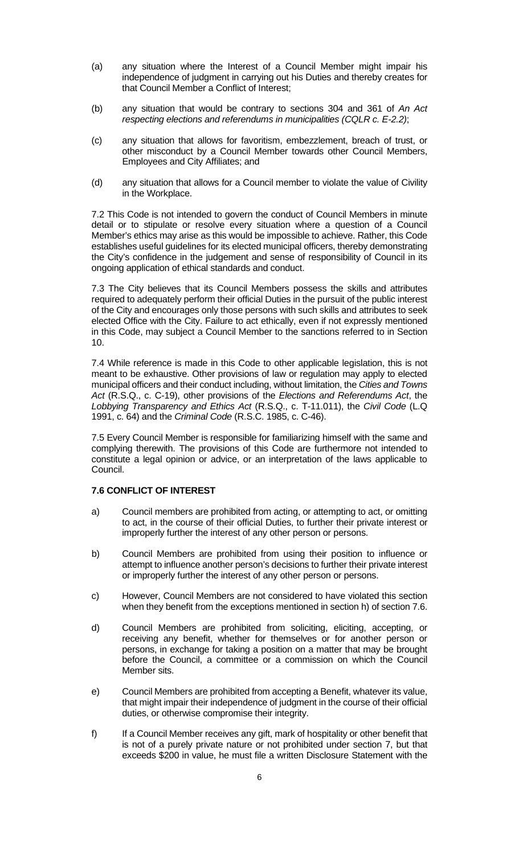- (a) any situation where the Interest of a Council Member might impair his independence of judgment in carrying out his Duties and thereby creates for that Council Member a Conflict of Interest;
- (b) any situation that would be contrary to sections 304 and 361 of *An Act respecting elections and referendums in municipalities (CQLR c. E-2.2)*;
- (c) any situation that allows for favoritism, embezzlement, breach of trust, or other misconduct by a Council Member towards other Council Members, Employees and City Affiliates; and
- (d) any situation that allows for a Council member to violate the value of Civility in the Workplace.

7.2 This Code is not intended to govern the conduct of Council Members in minute detail or to stipulate or resolve every situation where a question of a Council Member's ethics may arise as this would be impossible to achieve. Rather, this Code establishes useful guidelines for its elected municipal officers, thereby demonstrating the City's confidence in the judgement and sense of responsibility of Council in its ongoing application of ethical standards and conduct.

7.3 The City believes that its Council Members possess the skills and attributes required to adequately perform their official Duties in the pursuit of the public interest of the City and encourages only those persons with such skills and attributes to seek elected Office with the City. Failure to act ethically, even if not expressly mentioned in this Code, may subject a Council Member to the sanctions referred to in Section 10.

7.4 While reference is made in this Code to other applicable legislation, this is not meant to be exhaustive. Other provisions of law or regulation may apply to elected municipal officers and their conduct including, without limitation, the *Cities and Towns Act* (R.S.Q., c. C-19), other provisions of the *Elections and Referendums Act*, the *Lobbying Transparency and Ethics Act* (R.S.Q., c. T-11.011), the *Civil Code* (L.Q 1991, c. 64) and the *Criminal Code* (R.S.C. 1985, c. C-46).

7.5 Every Council Member is responsible for familiarizing himself with the same and complying therewith. The provisions of this Code are furthermore not intended to constitute a legal opinion or advice, or an interpretation of the laws applicable to Council.

## **7.6 CONFLICT OF INTEREST**

- a) Council members are prohibited from acting, or attempting to act, or omitting to act, in the course of their official Duties, to further their private interest or improperly further the interest of any other person or persons.
- b) Council Members are prohibited from using their position to influence or attempt to influence another person's decisions to further their private interest or improperly further the interest of any other person or persons.
- c) However, Council Members are not considered to have violated this section when they benefit from the exceptions mentioned in section h) of section 7.6.
- d) Council Members are prohibited from soliciting, eliciting, accepting, or receiving any benefit, whether for themselves or for another person or persons, in exchange for taking a position on a matter that may be brought before the Council, a committee or a commission on which the Council Member sits.
- e) Council Members are prohibited from accepting a Benefit, whatever its value, that might impair their independence of judgment in the course of their official duties, or otherwise compromise their integrity.
- f) If a Council Member receives any gift, mark of hospitality or other benefit that is not of a purely private nature or not prohibited under section 7, but that exceeds \$200 in value, he must file a written Disclosure Statement with the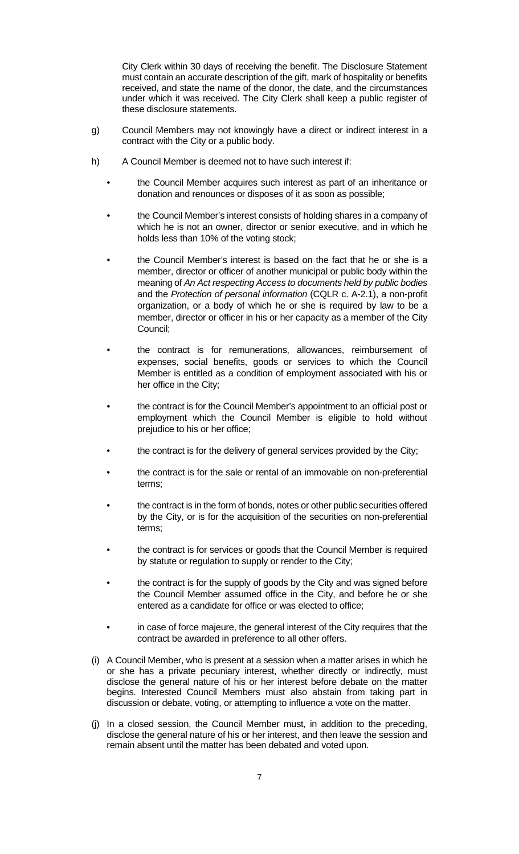City Clerk within 30 days of receiving the benefit. The Disclosure Statement must contain an accurate description of the gift, mark of hospitality or benefits received, and state the name of the donor, the date, and the circumstances under which it was received. The City Clerk shall keep a public register of these disclosure statements.

- g) Council Members may not knowingly have a direct or indirect interest in a contract with the City or a public body.
- h) A Council Member is deemed not to have such interest if:
	- the Council Member acquires such interest as part of an inheritance or donation and renounces or disposes of it as soon as possible;
	- the Council Member's interest consists of holding shares in a company of which he is not an owner, director or senior executive, and in which he holds less than 10% of the voting stock;
	- the Council Member's interest is based on the fact that he or she is a member, director or officer of another municipal or public body within the meaning of *An Act respecting Access to documents held by public bodies* and the *Protection of personal information* (CQLR c. A-2.1), a non-profit organization, or a body of which he or she is required by law to be a member, director or officer in his or her capacity as a member of the City Council;
	- the contract is for remunerations, allowances, reimbursement of expenses, social benefits, goods or services to which the Council Member is entitled as a condition of employment associated with his or her office in the City;
	- the contract is for the Council Member's appointment to an official post or employment which the Council Member is eligible to hold without prejudice to his or her office;
	- the contract is for the delivery of general services provided by the City;
	- the contract is for the sale or rental of an immovable on non-preferential terms;
	- the contract is in the form of bonds, notes or other public securities offered by the City, or is for the acquisition of the securities on non-preferential terms;
	- the contract is for services or goods that the Council Member is required by statute or regulation to supply or render to the City;
	- the contract is for the supply of goods by the City and was signed before the Council Member assumed office in the City, and before he or she entered as a candidate for office or was elected to office;
	- in case of force majeure, the general interest of the City requires that the contract be awarded in preference to all other offers.
- (i) A Council Member, who is present at a session when a matter arises in which he or she has a private pecuniary interest, whether directly or indirectly, must disclose the general nature of his or her interest before debate on the matter begins. Interested Council Members must also abstain from taking part in discussion or debate, voting, or attempting to influence a vote on the matter.
- (j) In a closed session, the Council Member must, in addition to the preceding, disclose the general nature of his or her interest, and then leave the session and remain absent until the matter has been debated and voted upon.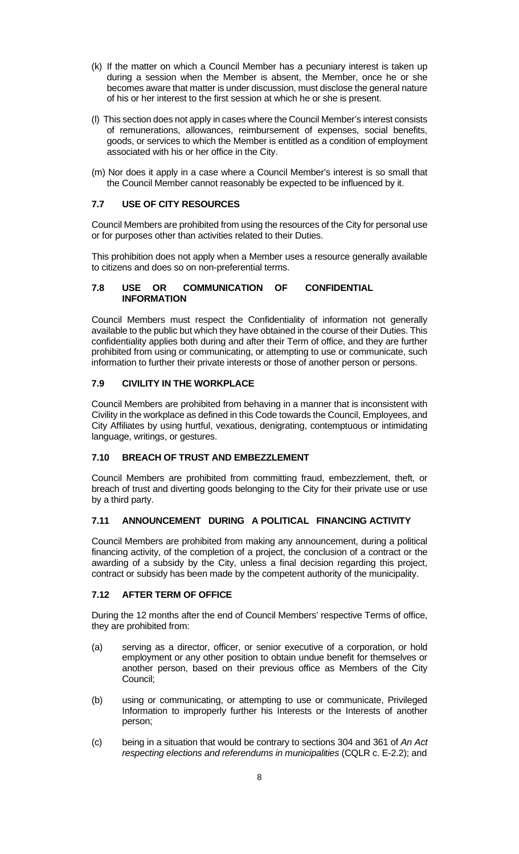- (k) If the matter on which a Council Member has a pecuniary interest is taken up during a session when the Member is absent, the Member, once he or she becomes aware that matter is under discussion, must disclose the general nature of his or her interest to the first session at which he or she is present.
- (l) This section does not apply in cases where the Council Member's interest consists of remunerations, allowances, reimbursement of expenses, social benefits, goods, or services to which the Member is entitled as a condition of employment associated with his or her office in the City.
- (m) Nor does it apply in a case where a Council Member's interest is so small that the Council Member cannot reasonably be expected to be influenced by it.

## **7.7 USE OF CITY RESOURCES**

Council Members are prohibited from using the resources of the City for personal use or for purposes other than activities related to their Duties.

This prohibition does not apply when a Member uses a resource generally available to citizens and does so on non-preferential terms.

### **7.8 USE OR COMMUNICATION OF CONFIDENTIAL INFORMATION**

Council Members must respect the Confidentiality of information not generally available to the public but which they have obtained in the course of their Duties. This confidentiality applies both during and after their Term of office, and they are further prohibited from using or communicating, or attempting to use or communicate, such information to further their private interests or those of another person or persons.

## **7.9 CIVILITY IN THE WORKPLACE**

Council Members are prohibited from behaving in a manner that is inconsistent with Civility in the workplace as defined in this Code towards the Council, Employees, and City Affiliates by using hurtful, vexatious, denigrating, contemptuous or intimidating language, writings, or gestures.

#### **7.10 BREACH OF TRUST AND EMBEZZLEMENT**

Council Members are prohibited from committing fraud, embezzlement, theft, or breach of trust and diverting goods belonging to the City for their private use or use by a third party.

#### **7.11 ANNOUNCEMENT DURING A POLITICAL FINANCING ACTIVITY**

Council Members are prohibited from making any announcement, during a political financing activity, of the completion of a project, the conclusion of a contract or the awarding of a subsidy by the City, unless a final decision regarding this project, contract or subsidy has been made by the competent authority of the municipality.

### **7.12 AFTER TERM OF OFFICE**

During the 12 months after the end of Council Members' respective Terms of office, they are prohibited from:

- (a) serving as a director, officer, or senior executive of a corporation, or hold employment or any other position to obtain undue benefit for themselves or another person, based on their previous office as Members of the City Council;
- (b) using or communicating, or attempting to use or communicate, Privileged Information to improperly further his Interests or the Interests of another person;
- (c) being in a situation that would be contrary to sections 304 and 361 of *An Act respecting elections and referendums in municipalities* (CQLR c. E-2.2); and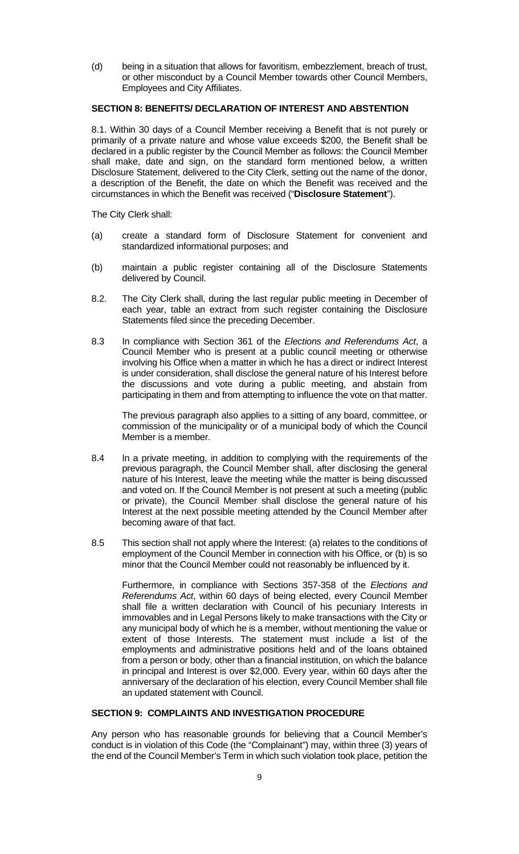(d) being in a situation that allows for favoritism, embezzlement, breach of trust, or other misconduct by a Council Member towards other Council Members, Employees and City Affiliates.

#### **SECTION 8: BENEFITS/ DECLARATION OF INTEREST AND ABSTENTION**

8.1. Within 30 days of a Council Member receiving a Benefit that is not purely or primarily of a private nature and whose value exceeds \$200, the Benefit shall be declared in a public register by the Council Member as follows: the Council Member shall make, date and sign, on the standard form mentioned below, a written Disclosure Statement, delivered to the City Clerk, setting out the name of the donor, a description of the Benefit, the date on which the Benefit was received and the circumstances in which the Benefit was received ("**Disclosure Statement**").

The City Clerk shall:

- (a) create a standard form of Disclosure Statement for convenient and standardized informational purposes; and
- (b) maintain a public register containing all of the Disclosure Statements delivered by Council.
- 8.2. The City Clerk shall, during the last regular public meeting in December of each year, table an extract from such register containing the Disclosure Statements filed since the preceding December.
- 8.3 In compliance with Section 361 of the *Elections and Referendums Act*, a Council Member who is present at a public council meeting or otherwise involving his Office when a matter in which he has a direct or indirect Interest is under consideration, shall disclose the general nature of his Interest before the discussions and vote during a public meeting, and abstain from participating in them and from attempting to influence the vote on that matter.

The previous paragraph also applies to a sitting of any board, committee, or commission of the municipality or of a municipal body of which the Council Member is a member.

- 8.4 In a private meeting, in addition to complying with the requirements of the previous paragraph, the Council Member shall, after disclosing the general nature of his Interest, leave the meeting while the matter is being discussed and voted on. If the Council Member is not present at such a meeting (public or private), the Council Member shall disclose the general nature of his Interest at the next possible meeting attended by the Council Member after becoming aware of that fact.
- 8.5 This section shall not apply where the Interest: (a) relates to the conditions of employment of the Council Member in connection with his Office, or (b) is so minor that the Council Member could not reasonably be influenced by it.

Furthermore, in compliance with Sections 357-358 of the *Elections and Referendums Act*, within 60 days of being elected, every Council Member shall file a written declaration with Council of his pecuniary Interests in immovables and in Legal Persons likely to make transactions with the City or any municipal body of which he is a member, without mentioning the value or extent of those Interests. The statement must include a list of the employments and administrative positions held and of the loans obtained from a person or body, other than a financial institution, on which the balance in principal and Interest is over \$2,000. Every year, within 60 days after the anniversary of the declaration of his election, every Council Member shall file an updated statement with Council.

## **SECTION 9: COMPLAINTS AND INVESTIGATION PROCEDURE**

Any person who has reasonable grounds for believing that a Council Member's conduct is in violation of this Code (the "Complainant") may, within three (3) years of the end of the Council Member's Term in which such violation took place, petition the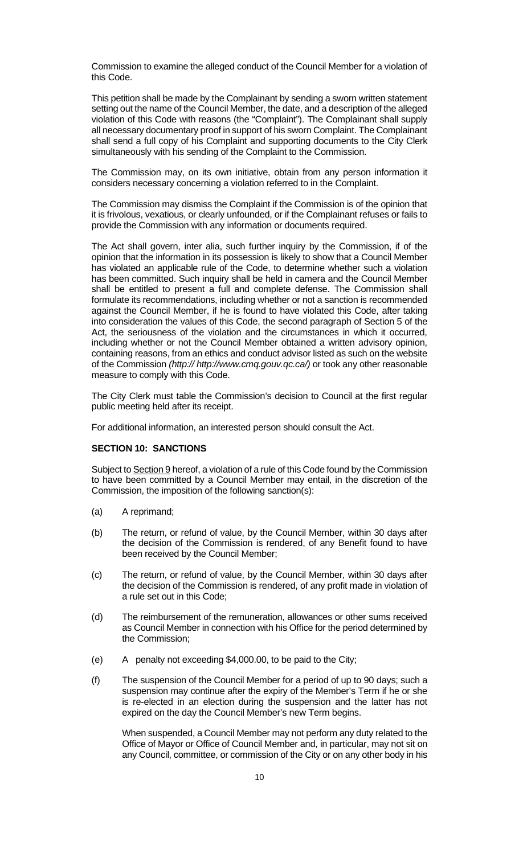Commission to examine the alleged conduct of the Council Member for a violation of this Code.

This petition shall be made by the Complainant by sending a sworn written statement setting out the name of the Council Member, the date, and a description of the alleged violation of this Code with reasons (the "Complaint"). The Complainant shall supply all necessary documentary proof in support of his sworn Complaint. The Complainant shall send a full copy of his Complaint and supporting documents to the City Clerk simultaneously with his sending of the Complaint to the Commission.

The Commission may, on its own initiative, obtain from any person information it considers necessary concerning a violation referred to in the Complaint.

The Commission may dismiss the Complaint if the Commission is of the opinion that it is frivolous, vexatious, or clearly unfounded, or if the Complainant refuses or fails to provide the Commission with any information or documents required.

The Act shall govern, inter alia, such further inquiry by the Commission, if of the opinion that the information in its possession is likely to show that a Council Member has violated an applicable rule of the Code, to determine whether such a violation has been committed. Such inquiry shall be held in camera and the Council Member shall be entitled to present a full and complete defense. The Commission shall formulate its recommendations, including whether or not a sanction is recommended against the Council Member, if he is found to have violated this Code, after taking into consideration the values of this Code, the second paragraph of Section 5 of the Act, the seriousness of the violation and the circumstances in which it occurred, including whether or not the Council Member obtained a written advisory opinion, containing reasons, from an ethics and conduct advisor listed as such on the website of the Commission *(http:// http://www.cmq.gouv.qc.ca/)* or took any other reasonable measure to comply with this Code.

The City Clerk must table the Commission's decision to Council at the first regular public meeting held after its receipt.

For additional information, an interested person should consult the Act.

#### **SECTION 10: SANCTIONS**

Subject to Section 9 hereof, a violation of a rule of this Code found by the Commission to have been committed by a Council Member may entail, in the discretion of the Commission, the imposition of the following sanction(s):

- (a) A reprimand;
- (b) The return, or refund of value, by the Council Member, within 30 days after the decision of the Commission is rendered, of any Benefit found to have been received by the Council Member;
- (c) The return, or refund of value, by the Council Member, within 30 days after the decision of the Commission is rendered, of any profit made in violation of a rule set out in this Code;
- (d) The reimbursement of the remuneration, allowances or other sums received as Council Member in connection with his Office for the period determined by the Commission;
- (e) A penalty not exceeding \$4,000.00, to be paid to the City;
- (f) The suspension of the Council Member for a period of up to 90 days; such a suspension may continue after the expiry of the Member's Term if he or she is re-elected in an election during the suspension and the latter has not expired on the day the Council Member's new Term begins.

When suspended, a Council Member may not perform any duty related to the Office of Mayor or Office of Council Member and, in particular, may not sit on any Council, committee, or commission of the City or on any other body in his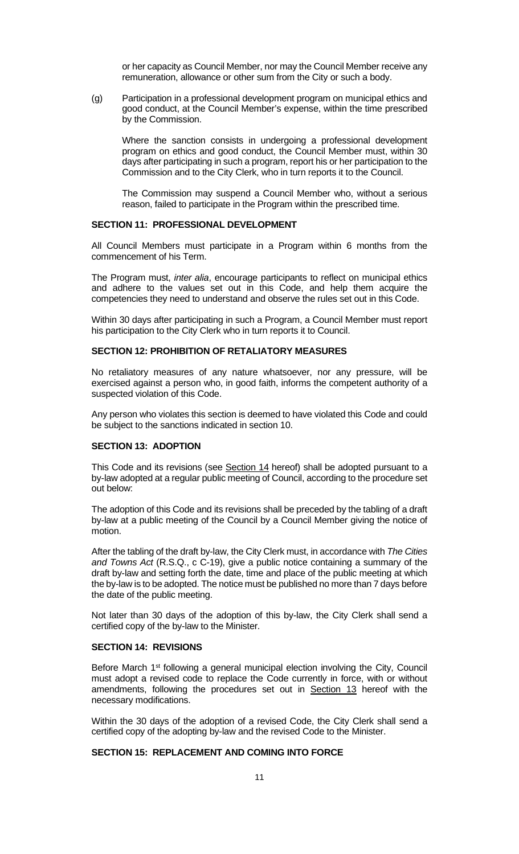or her capacity as Council Member, nor may the Council Member receive any remuneration, allowance or other sum from the City or such a body.

(g) Participation in a professional development program on municipal ethics and good conduct, at the Council Member's expense, within the time prescribed by the Commission.

Where the sanction consists in undergoing a professional development program on ethics and good conduct, the Council Member must, within 30 days after participating in such a program, report his or her participation to the Commission and to the City Clerk, who in turn reports it to the Council.

The Commission may suspend a Council Member who, without a serious reason, failed to participate in the Program within the prescribed time.

#### **SECTION 11: PROFESSIONAL DEVELOPMENT**

All Council Members must participate in a Program within 6 months from the commencement of his Term.

The Program must, *inter alia*, encourage participants to reflect on municipal ethics and adhere to the values set out in this Code, and help them acquire the competencies they need to understand and observe the rules set out in this Code.

Within 30 days after participating in such a Program, a Council Member must report his participation to the City Clerk who in turn reports it to Council.

#### **SECTION 12: PROHIBITION OF RETALIATORY MEASURES**

No retaliatory measures of any nature whatsoever, nor any pressure, will be exercised against a person who, in good faith, informs the competent authority of a suspected violation of this Code.

Any person who violates this section is deemed to have violated this Code and could be subject to the sanctions indicated in section 10.

## **SECTION 13: ADOPTION**

This Code and its revisions (see Section 14 hereof) shall be adopted pursuant to a by-law adopted at a regular public meeting of Council, according to the procedure set out below:

The adoption of this Code and its revisions shall be preceded by the tabling of a draft by-law at a public meeting of the Council by a Council Member giving the notice of motion.

After the tabling of the draft by-law, the City Clerk must, in accordance with *The Cities and Towns Act* (R.S.Q., c C-19), give a public notice containing a summary of the draft by-law and setting forth the date, time and place of the public meeting at which the by-law is to be adopted. The notice must be published no more than 7 days before the date of the public meeting.

Not later than 30 days of the adoption of this by-law, the City Clerk shall send a certified copy of the by-law to the Minister.

### **SECTION 14: REVISIONS**

Before March 1<sup>st</sup> following a general municipal election involving the City, Council must adopt a revised code to replace the Code currently in force, with or without amendments, following the procedures set out in Section 13 hereof with the necessary modifications.

Within the 30 days of the adoption of a revised Code, the City Clerk shall send a certified copy of the adopting by-law and the revised Code to the Minister.

#### **SECTION 15: REPLACEMENT AND COMING INTO FORCE**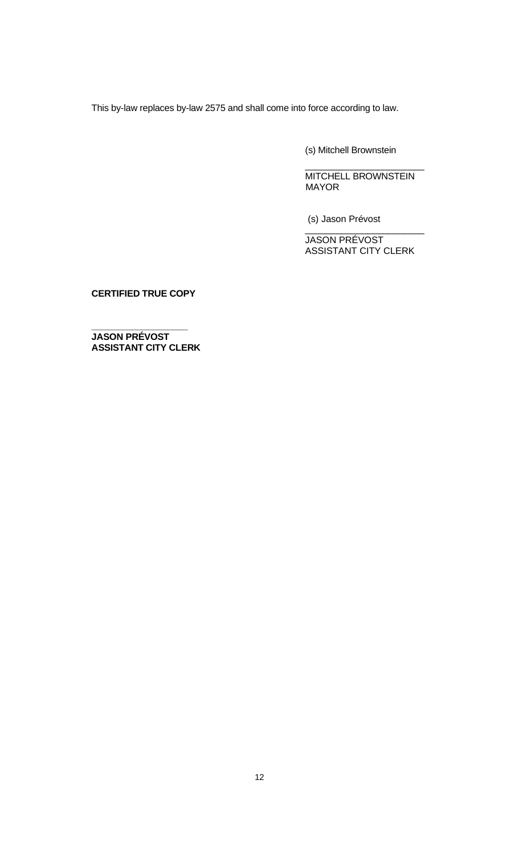This by-law replaces by-law 2575 and shall come into force according to law.

(s) Mitchell Brownstein

MITCHELL BROWNSTEIN MAYOR

\_\_\_\_\_\_\_\_\_\_\_\_\_\_\_\_\_\_\_\_\_\_\_

(s) Jason Prévost

JASON PRÉVOST ASSISTANT CITY CLERK

\_\_\_\_\_\_\_\_\_\_\_\_\_\_\_\_\_\_\_\_\_\_\_

**CERTIFIED TRUE COPY**

**JASON PRÉVOST ASSISTANT CITY CLERK**

**\_\_\_\_\_\_\_\_\_\_\_\_\_\_\_\_\_\_\_**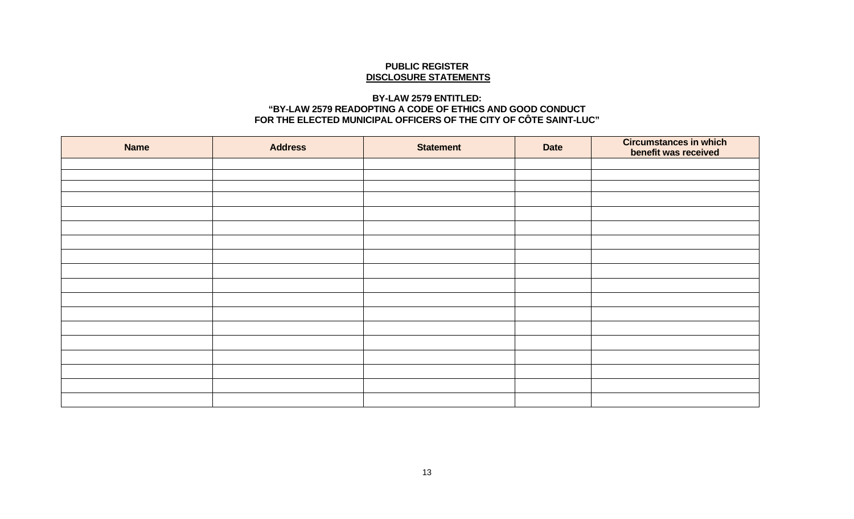#### **PUBLIC REGISTER DISCLOSURE STATEMENTS**

## **BY-LAW 2579 ENTITLED: "BY-LAW 2579 READOPTING A CODE OF ETHICS AND GOOD CONDUCT FOR THE ELECTED MUNICIPAL OFFICERS OF THE CITY OF CÔTE SAINT-LUC"**

| <b>Name</b> | <b>Address</b> | <b>Statement</b> | <b>Date</b> | <b>Circumstances in which</b><br>benefit was received |
|-------------|----------------|------------------|-------------|-------------------------------------------------------|
|             |                |                  |             |                                                       |
|             |                |                  |             |                                                       |
|             |                |                  |             |                                                       |
|             |                |                  |             |                                                       |
|             |                |                  |             |                                                       |
|             |                |                  |             |                                                       |
|             |                |                  |             |                                                       |
|             |                |                  |             |                                                       |
|             |                |                  |             |                                                       |
|             |                |                  |             |                                                       |
|             |                |                  |             |                                                       |
|             |                |                  |             |                                                       |
|             |                |                  |             |                                                       |
|             |                |                  |             |                                                       |
|             |                |                  |             |                                                       |
|             |                |                  |             |                                                       |
|             |                |                  |             |                                                       |
|             |                |                  |             |                                                       |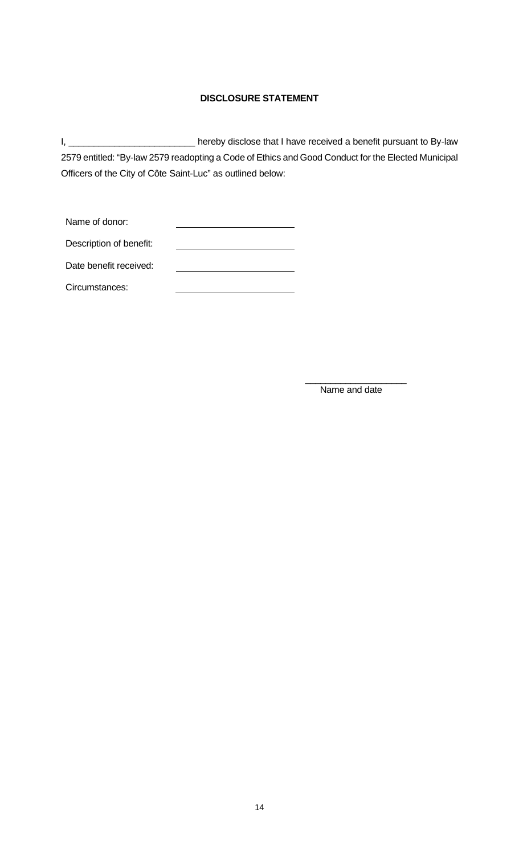# **DISCLOSURE STATEMENT**

I, \_\_\_\_\_\_\_\_\_\_\_\_\_\_\_\_\_\_\_\_\_\_\_\_\_\_\_\_\_\_\_\_ hereby disclose that I have received a benefit pursuant to By-law 2579 entitled: "By-law 2579 readopting a Code of Ethics and Good Conduct for the Elected Municipal Officers of the City of Côte Saint-Luc" as outlined below:

| Name of donor:          |  |
|-------------------------|--|
| Description of benefit: |  |
| Date benefit received:  |  |
| Circumstances:          |  |

 $\_$ Name and date